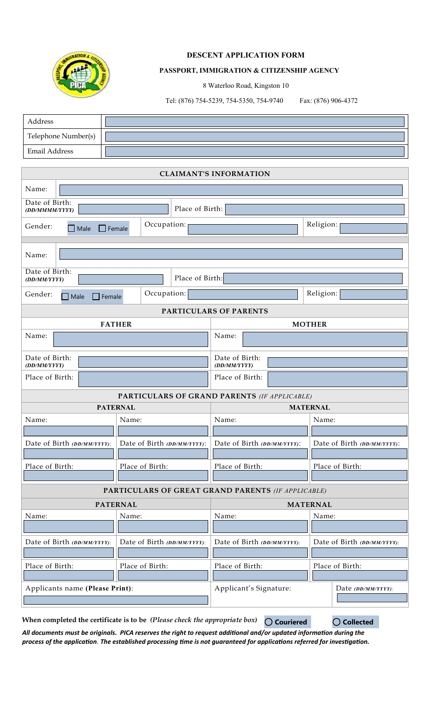

# **DESCENT APPLICATION FORM**

### **PASSPORT, IMMIGRATION & CITIZENSHIP AGENCY**

8 Waterloo Road, Kingston 10

Tel: (876) 754-5239, 754-5350, 754-9740 Fax: (876) 906-4372

| Address             |  |
|---------------------|--|
| Telephone Number(s) |  |
| Email Address       |  |

# **CLAIMANT'S INFORMATION**

| Name:                                                  |                             |                                              |                             |  |
|--------------------------------------------------------|-----------------------------|----------------------------------------------|-----------------------------|--|
| Date of Birth:<br>Place of Birth:<br>(DD/MMMM/YYYY)    |                             |                                              |                             |  |
| Occupation:<br>Gender:<br>$\Box$ Male<br>$\Box$ Female |                             |                                              | Religion:                   |  |
| Name:                                                  |                             |                                              |                             |  |
| Date of Birth:<br>Place of Birth:<br>(DD/MM/YYYY)      |                             |                                              |                             |  |
| Gender:<br>$\Box$ Female<br>$\Box$ Male                | Occupation:                 |                                              | Religion:                   |  |
| PARTICULARS OF PARENTS                                 |                             |                                              |                             |  |
|                                                        | <b>FATHER</b>               | <b>MOTHER</b>                                |                             |  |
| Name:                                                  |                             | Name:                                        |                             |  |
| Date of Birth:<br>(DD/MM/YYYY)                         |                             | Date of Birth:<br>(DD/MM/YYYY)               |                             |  |
| Place of Birth:                                        |                             | Place of Birth:                              |                             |  |
|                                                        |                             | PARTICULARS OF GRAND PARENTS (IF APPLICABLE) |                             |  |
|                                                        | <b>PATERNAL</b>             | <b>MATERNAL</b>                              |                             |  |
| Name:                                                  | Name:                       | Name:                                        | Name:                       |  |
| Date of Birth (DD/MM/YYYY):                            | Date of Birth (DD/MM/YYYY): | Date of Birth (DD/MM/YYYY):                  | Date of Birth (DD/MM/YYYY): |  |
| Place of Birth:                                        | Place of Birth:             | Place of Birth:                              | Place of Birth:             |  |
| PARTICULARS OF GREAT GRAND PARENTS (IF APPLICABLE)     |                             |                                              |                             |  |
|                                                        | <b>PATERNAL</b>             | <b>MATERNAL</b>                              |                             |  |
| Name:                                                  | Name:                       | Name:                                        | Name:                       |  |
| Date of Birth (DD/MM/YYYY):                            | Date of Birth (DD/MM/YYYY): | Date of Birth (DD/MM/YYYY):                  | Date of Birth (DD/MM/YYYY): |  |
| Place of Birth:                                        | Place of Birth:             | Place of Birth:                              | Place of Birth:             |  |
| Applicants name (Please Print):                        |                             | Applicant's Signature:                       | Date (DD/MM/YYYY):          |  |

**When completed the certificate is to be** *(Please check the appropriate box)*

**Couriered Collected**

*All documents must be originals. PICA reserves the right to request additional and/or updated information during the process of the application. The established processing time is not guaranteed for applications referred for investigation.*